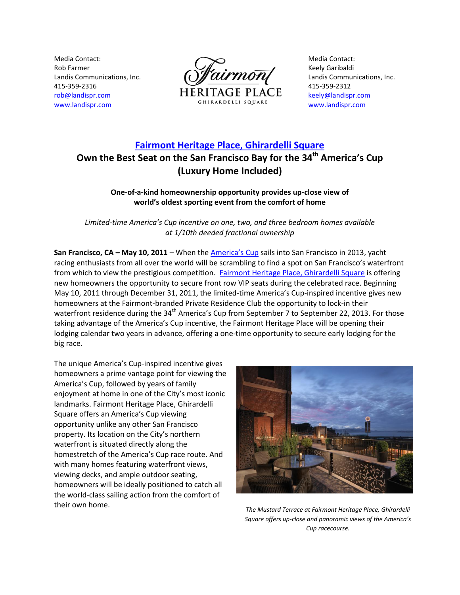Media Contact: Rob Farmer Landis Communications, Inc. 415-359-2316 [rob@landispr.com](mailto:rob@landispr.com) [www.landispr.com](http://www.landispr.com/)



Media Contact: Keely Garibaldi Landis Communications, Inc. 415-359-2312 [keely@landispr.com](mailto:xx@landispr.com) [www.landispr.com](http://www.landispr.com/)

# **[Fairmont Heritage Place, Ghirardelli Square](http://www.fairmontatghirardelli.com/) Own the Best Seat on the San Francisco Bay for the 34th America's Cup (Luxury Home Included)**

## **One-of-a-kind homeownership opportunity provides up-close view of world's oldest sporting event from the comfort of home**

*Limited-time America's Cup incentive on one, two, and three bedroom homes available at 1/10th deeded fractional ownership*

**San Francisco, CA – May 10, 2011** – When the [America's Cup](http://www.americascup.com/) sails into San Francisco in 2013, yacht racing enthusiasts from all over the world will be scrambling to find a spot on San Francisco's waterfront from which to view the prestigious competition. [Fairmont Heritage Place, Ghirardelli Square](http://www.fairmontatghirardelli.com/) is offering new homeowners the opportunity to secure front row VIP seats during the celebrated race. Beginning May 10, 2011 through December 31, 2011, the limited-time America's Cup-inspired incentive gives new homeowners at the Fairmont-branded Private Residence Club the opportunity to lock-in their waterfront residence during the 34<sup>th</sup> America's Cup from September 7 to September 22, 2013. For those taking advantage of the America's Cup incentive, the Fairmont Heritage Place will be opening their lodging calendar two years in advance, offering a one-time opportunity to secure early lodging for the big race.

The unique America's Cup-inspired incentive gives homeowners a prime vantage point for viewing the America's Cup, followed by years of family enjoyment at home in one of the City's most iconic landmarks. Fairmont Heritage Place, Ghirardelli Square offers an America's Cup viewing opportunity unlike any other San Francisco property. Its location on the City's northern waterfront is situated directly along the homestretch of the America's Cup race route. And with many homes featuring waterfront views, viewing decks, and ample outdoor seating, homeowners will be ideally positioned to catch all the world-class sailing action from the comfort of their own home. *The Mustard Terrace at Fairmont Heritage Place, Ghirardelli* 



*Square offers up-close and panoramic views of the America's Cup racecourse.*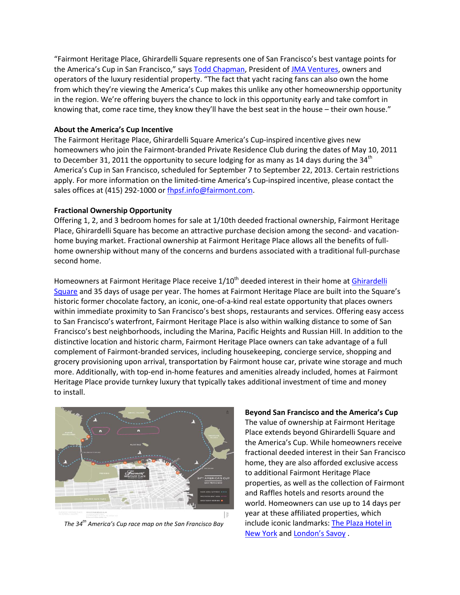"Fairmont Heritage Place, Ghirardelli Square represents one of San Francisco's best vantage points for the America's Cup in San Francisco," says [Todd Chapman,](http://www.jmaventuresllc.om/about) President of [JMA Ventures,](http://www.jmaventuresllc.com/) owners and operators of the luxury residential property. "The fact that yacht racing fans can also own the home from which they're viewing the America's Cup makes this unlike any other homeownership opportunity in the region. We're offering buyers the chance to lock in this opportunity early and take comfort in knowing that, come race time, they know they'll have the best seat in the house – their own house."

### **About the America's Cup Incentive**

The Fairmont Heritage Place, Ghirardelli Square America's Cup-inspired incentive gives new homeowners who join the Fairmont-branded Private Residence Club during the dates of May 10, 2011 to December 31, 2011 the opportunity to secure lodging for as many as 14 days during the 34<sup>th</sup> America's Cup in San Francisco, scheduled for September 7 to September 22, 2013. Certain restrictions apply. For more information on the limited-time America's Cup-inspired incentive, please contact the sales offices at (415) 292-1000 o[r fhpsf.info@fairmont.com.](mailto:fhpsf.info@fairmont.com)

## **Fractional Ownership Opportunity**

Offering 1, 2, and 3 bedroom homes for sale at 1/10th deeded fractional ownership, Fairmont Heritage Place, Ghirardelli Square has become an attractive purchase decision among the second- and vacationhome buying market. Fractional ownership at Fairmont Heritage Place allows all the benefits of fullhome ownership without many of the concerns and burdens associated with a traditional full-purchase second home.

Homeowners at Fairmont Heritage Place receive 1/10<sup>th</sup> deeded interest in their home at *Ghirardelli* [Square](http://www.ghirardellisq.com/) and 35 days of usage per year. The homes at Fairmont Heritage Place are built into the Square's historic former chocolate factory, an iconic, one-of-a-kind real estate opportunity that places owners within immediate proximity to San Francisco's best shops, restaurants and services. Offering easy access to San Francisco's waterfront, Fairmont Heritage Place is also within walking distance to some of San Francisco's best neighborhoods, including the Marina, Pacific Heights and Russian Hill. In addition to the distinctive location and historic charm, Fairmont Heritage Place owners can take advantage of a full complement of Fairmont-branded services, including housekeeping, concierge service, shopping and grocery provisioning upon arrival, transportation by Fairmont house car, private wine storage and much more. Additionally, with top-end in-home features and amenities already included, homes at Fairmont Heritage Place provide turnkey luxury that typically takes additional investment of time and money to install.



*The 34th America's Cup race map on the San Francisco Bay*

#### **Beyond San Francisco and the America's Cup**

The value of ownership at Fairmont Heritage Place extends beyond Ghirardelli Square and the America's Cup. While homeowners receive fractional deeded interest in their San Francisco home, they are also afforded exclusive access to additional Fairmont Heritage Place properties, as well as the collection of Fairmont and Raffles hotels and resorts around the world. Homeowners can use up to 14 days per year at these affiliated properties, which include iconic landmarks[: The Plaza Hotel in](http://www.fairmont.com/thePlaza)  [New York](http://www.fairmont.com/thePlaza) and [London'](http://www.fairmont.com/savoy)s Savoy .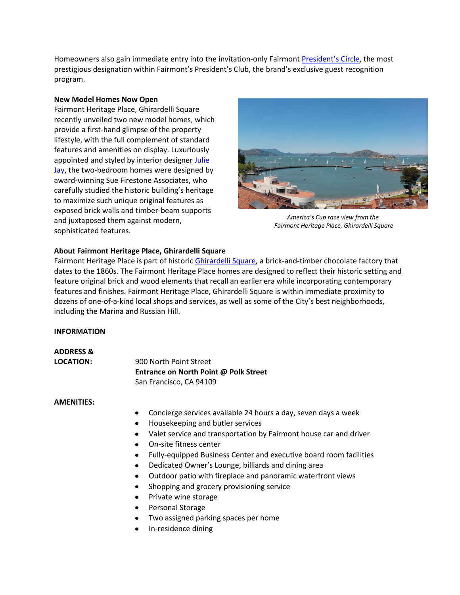Homeowners also gain immediate entry into the invitation-only Fairmont [President's Circle](http://www.fairmont.com/fpc/), the most prestigious designation within Fairmont's President's Club, the brand's exclusive guest recognition program.

## **New Model Homes Now Open**

Fairmont Heritage Place, Ghirardelli Square recently unveiled two new model homes, which provide a first-hand glimpse of the property lifestyle, with the full complement of standard features and amenities on display. Luxuriously appointed and styled by interior designer [Julie](http://www.juliejaystaging.com/)  [Jay,](http://www.juliejaystaging.com/) the two-bedroom homes were designed by award-winning Sue Firestone Associates, who carefully studied the historic building's heritage to maximize such unique original features as exposed brick walls and timber-beam supports and juxtaposed them against modern, sophisticated features.



*America's Cup race view from the Fairmont Heritage Place, Ghirardelli Square*

## **About Fairmont Heritage Place, Ghirardelli Square**

Fairmont Heritage Place is part of histori[c Ghirardelli Square,](http://www.ghirardellisq.com/) a brick-and-timber chocolate factory that dates to the 1860s. The Fairmont Heritage Place homes are designed to reflect their historic setting and feature original brick and wood elements that recall an earlier era while incorporating contemporary features and finishes. Fairmont Heritage Place, Ghirardelli Square is within immediate proximity to dozens of one-of-a-kind local shops and services, as well as some of the City's best neighborhoods, including the Marina and Russian Hill.

## **INFORMATION**

**ADDRESS & LOCATION:** 900 North Point Street **Entrance on North Point @ Polk Street** San Francisco, CA 94109

#### **AMENITIES:**

- Concierge services available 24 hours a day, seven days a week
- Housekeeping and butler services
- Valet service and transportation by Fairmont house car and driver
- On-site fitness center
- Fully-equipped Business Center and executive board room facilities
- Dedicated Owner's Lounge, billiards and dining area
- Outdoor patio with fireplace and panoramic waterfront views
- Shopping and grocery provisioning service
- Private wine storage
- Personal Storage
- Two assigned parking spaces per home
- In-residence dining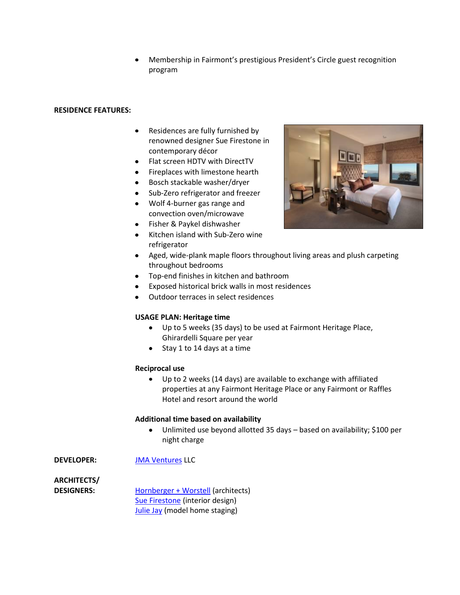Membership in Fairmont's prestigious President's Circle guest recognition program

## **RESIDENCE FEATURES:**

- $\bullet$ Residences are fully furnished by renowned designer Sue Firestone in contemporary décor
- Flat screen HDTV with DirectTV
- Fireplaces with limestone hearth
- Bosch stackable washer/dryer
- Sub-Zero refrigerator and freezer
- Wolf 4-burner gas range and convection oven/microwave
- Fisher & Paykel dishwasher
- Kitchen island with Sub-Zero wine refrigerator



- Aged, wide-plank maple floors throughout living areas and plush carpeting throughout bedrooms
- Top-end finishes in kitchen and bathroom
- Exposed historical brick walls in most residences
- Outdoor terraces in select residences

#### **USAGE PLAN: Heritage time**

- Up to 5 weeks (35 days) to be used at Fairmont Heritage Place, Ghirardelli Square per year
- Stay 1 to 14 days at a time

#### **Reciprocal use**

 $\bullet$ Up to 2 weeks (14 days) are available to exchange with affiliated properties at any Fairmont Heritage Place or any Fairmont or Raffles Hotel and resort around the world

#### **Additional time based on availability**

Unlimited use beyond allotted 35 days – based on availability; \$100 per  $\bullet$ night charge

**DEVELOPER:** [JMA Ventures](http://www.jmaventuresllc.com/) LLC

**ARCHITECTS/**

**DESIGNERS:** [Hornberger + Worstell](http://www.hornbergerworstell.com/) (architects) [Sue Firestone](http://www.sfadesign.com/) (interior design) [Julie Jay](http://www.juliejaystaging.com/) (model home staging)